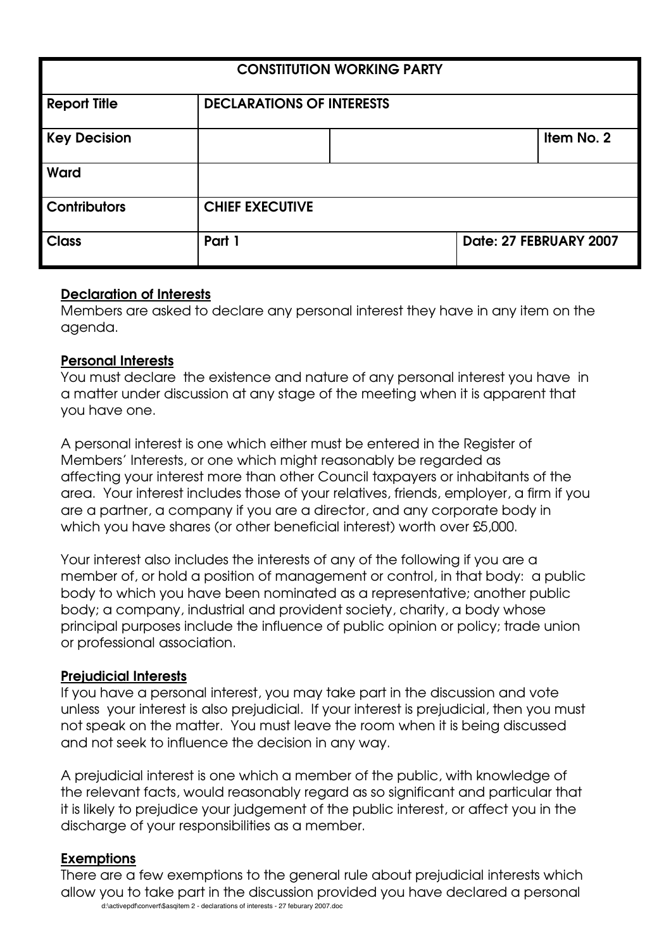| <b>CONSTITUTION WORKING PARTY</b> |                                  |  |  |                        |
|-----------------------------------|----------------------------------|--|--|------------------------|
| <b>Report Title</b>               | <b>DECLARATIONS OF INTERESTS</b> |  |  |                        |
| <b>Key Decision</b>               |                                  |  |  | Item No. 2             |
| Ward                              |                                  |  |  |                        |
| <b>Contributors</b>               | <b>CHIEF EXECUTIVE</b>           |  |  |                        |
| <b>Class</b>                      | Part 1                           |  |  | Date: 27 FEBRUARY 2007 |

## **Declaration of Interests**

Members are asked to declare any personal interest they have in any item on the agenda.

### **Personal Interests**

You must declare the existence and nature of any personal interest you have in a matter under discussion at any stage of the meeting when it is apparent that you have one.

A personal interest is one which either must be entered in the Register of Members' Interests, or one which might reasonably be regarded as affecting your interest more than other Council taxpayers or inhabitants of the area. Your interest includes those of your relatives, friends, employer, a firm if you are a partner, a company if you are a director, and any corporate body in which you have shares (or other beneficial interest) worth over £5,000.

Your interest also includes the interests of any of the following if you are a member of, or hold a position of management or control, in that body: a public body to which you have been nominated as a representative; another public body; a company, industrial and provident society, charity, a body whose principal purposes include the influence of public opinion or policy; trade union or professional association.

#### **Prejudicial Interests**

If you have a personal interest, you may take part in the discussion and vote unless your interest is also prejudicial. If your interest is prejudicial, then you must not speak on the matter. You must leave the room when it is being discussed and not seek to influence the decision in any way.

A prejudicial interest is one which a member of the public, with knowledge of the relevant facts, would reasonably regard as so significant and particular that it is likely to prejudice your judgement of the public interest, or affect you in the discharge of your responsibilities as a member.

#### **Exemptions**

d:\activepdf\convert\\$asqitem 2 - declarations of interests - 27 feburary 2007.doc There are a few exemptions to the general rule about prejudicial interests which allow you to take part in the discussion provided you have declared a personal